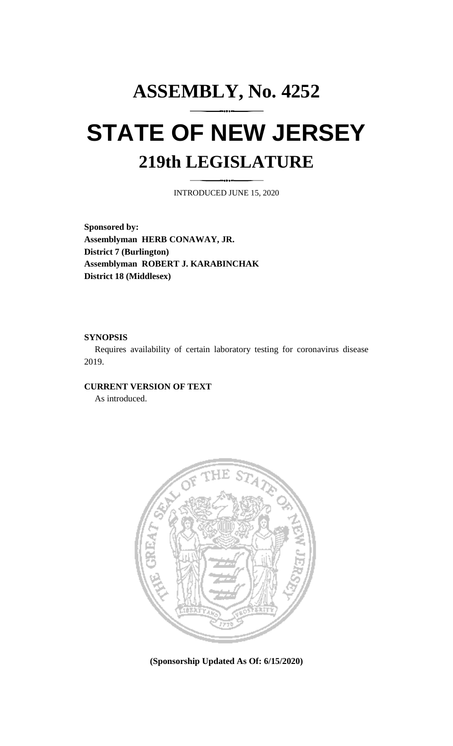## **ASSEMBLY, No. 4252 STATE OF NEW JERSEY 219th LEGISLATURE**

INTRODUCED JUNE 15, 2020

**Sponsored by: Assemblyman HERB CONAWAY, JR. District 7 (Burlington) Assemblyman ROBERT J. KARABINCHAK District 18 (Middlesex)**

## **SYNOPSIS**

Requires availability of certain laboratory testing for coronavirus disease 2019.

## **CURRENT VERSION OF TEXT**

As introduced.



**(Sponsorship Updated As Of: 6/15/2020)**